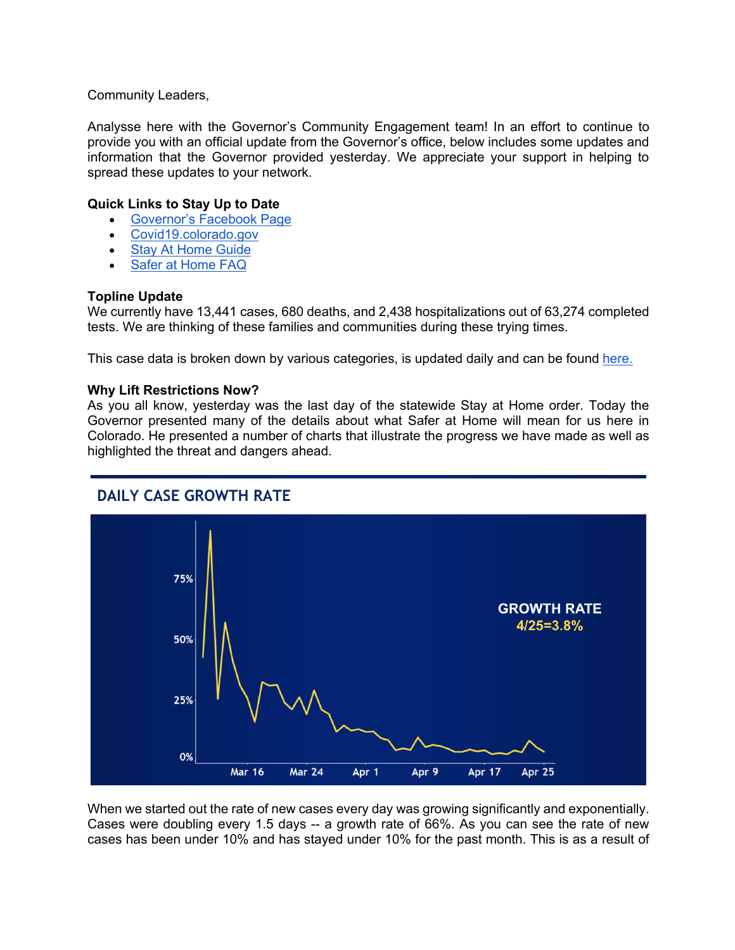Community Leaders,

Analysse here with the Governor's Community Engagement team! In an effort to continue to provide you with an official update from the Governor's office, below includes some updates and information that the Governor provided yesterday. We appreciate your support in helping to spread these updates to your network.

#### **Quick Links to Stay Up to Date**

- Governor's Facebook Page
- Covid19.colorado.gov
- Stay At Home Guide
- Safer at Home FAQ

### **Topline Update**

We currently have 13,441 cases, 680 deaths, and 2,438 hospitalizations out of 63,274 completed tests. We are thinking of these families and communities during these trying times.

This case data is broken down by various categories, is updated daily and can be found here.

#### **Why Lift Restrictions Now?**

As you all know, yesterday was the last day of the statewide Stay at Home order. Today the Governor presented many of the details about what Safer at Home will mean for us here in Colorado. He presented a number of charts that illustrate the progress we have made as well as highlighted the threat and dangers ahead.



# **DAILY CASE GROWTH RATE**

When we started out the rate of new cases every day was growing significantly and exponentially. Cases were doubling every 1.5 days -- a growth rate of 66%. As you can see the rate of new cases has been under 10% and has stayed under 10% for the past month. This is as a result of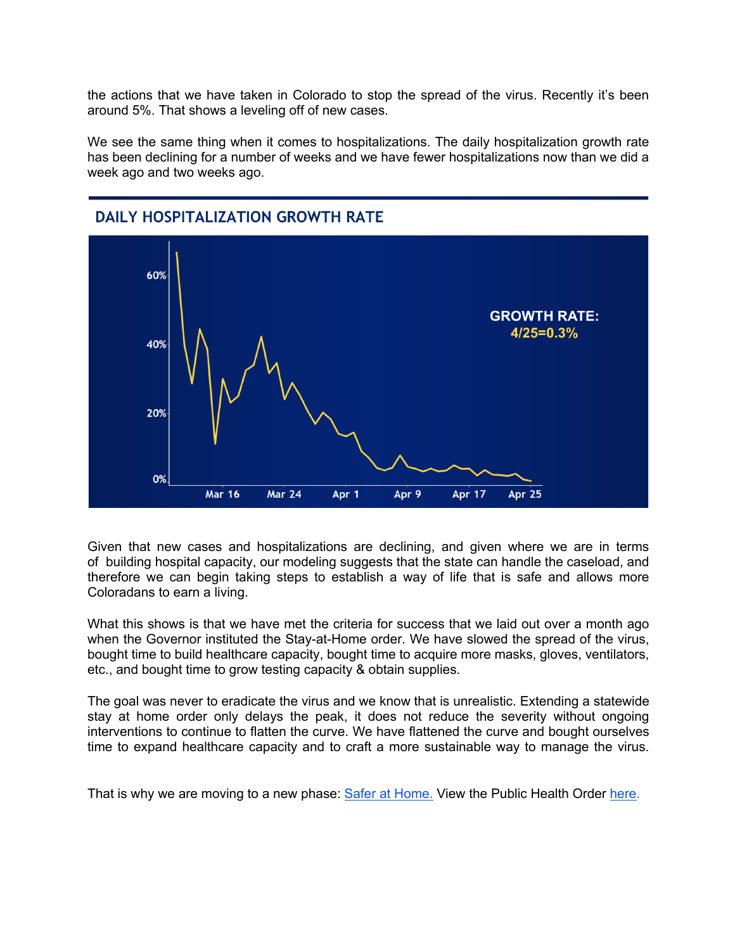the actions that we have taken in Colorado to stop the spread of the virus. Recently it's been around 5%. That shows a leveling off of new cases.

We see the same thing when it comes to hospitalizations. The daily hospitalization growth rate has been declining for a number of weeks and we have fewer hospitalizations now than we did a week ago and two weeks ago.



## **DAILY HOSPITALIZATION GROWTH RATE**

Given that new cases and hospitalizations are declining, and given where we are in terms of building hospital capacity, our modeling suggests that the state can handle the caseload, and therefore we can begin taking steps to establish a way of life that is safe and allows more Coloradans to earn a living.

What this shows is that we have met the criteria for success that we laid out over a month ago when the Governor instituted the Stay-at-Home order. We have slowed the spread of the virus, bought time to build healthcare capacity, bought time to acquire more masks, gloves, ventilators, etc., and bought time to grow testing capacity & obtain supplies.

The goal was never to eradicate the virus and we know that is unrealistic. Extending a statewide stay at home order only delays the peak, it does not reduce the severity without ongoing interventions to continue to flatten the curve. We have flattened the curve and bought ourselves time to expand healthcare capacity and to craft a more sustainable way to manage the virus.

That is why we are moving to a new phase: Safer at Home. View the Public Health Order here.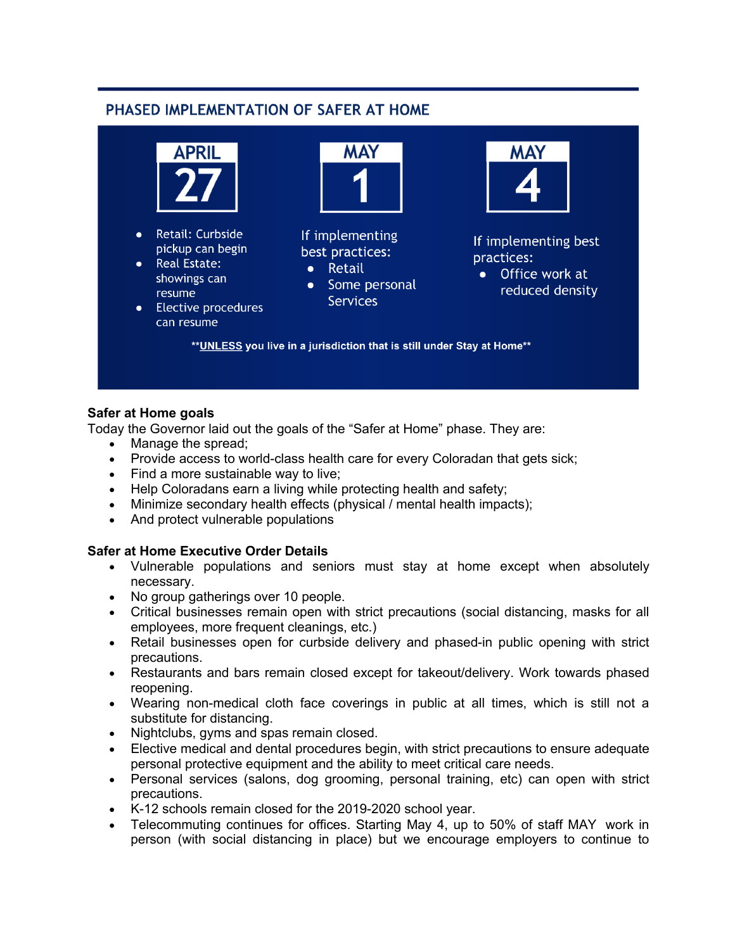## PHASED IMPLEMENTATION OF SAFER AT HOME



### **Safer at Home goals**

Today the Governor laid out the goals of the "Safer at Home" phase. They are:

- Manage the spread:
- Provide access to world-class health care for every Coloradan that gets sick;
- Find a more sustainable way to live;
- Help Coloradans earn a living while protecting health and safety;
- Minimize secondary health effects (physical / mental health impacts);
- And protect vulnerable populations

### **Safer at Home Executive Order Details**

- Vulnerable populations and seniors must stay at home except when absolutely necessary.
- No group gatherings over 10 people.
- Critical businesses remain open with strict precautions (social distancing, masks for all employees, more frequent cleanings, etc.)
- Retail businesses open for curbside delivery and phased-in public opening with strict precautions.
- Restaurants and bars remain closed except for takeout/delivery. Work towards phased reopening.
- Wearing non-medical cloth face coverings in public at all times, which is still not a substitute for distancing.
- Nightclubs, gyms and spas remain closed.
- Elective medical and dental procedures begin, with strict precautions to ensure adequate personal protective equipment and the ability to meet critical care needs.
- Personal services (salons, dog grooming, personal training, etc) can open with strict precautions.
- K-12 schools remain closed for the 2019-2020 school year.
- Telecommuting continues for offices. Starting May 4, up to 50% of staff MAY work in person (with social distancing in place) but we encourage employers to continue to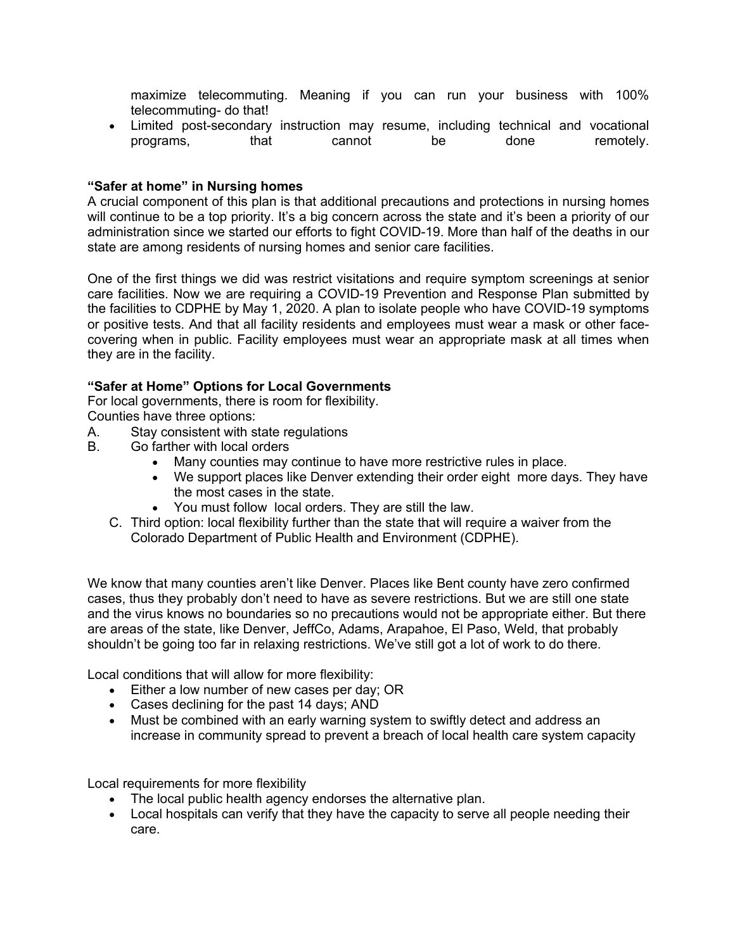maximize telecommuting. Meaning if you can run your business with 100% telecommuting- do that!

• Limited post-secondary instruction may resume, including technical and vocational programs, that cannot be done remotely.

#### **"Safer at home" in Nursing homes**

A crucial component of this plan is that additional precautions and protections in nursing homes will continue to be a top priority. It's a big concern across the state and it's been a priority of our administration since we started our efforts to fight COVID-19. More than half of the deaths in our state are among residents of nursing homes and senior care facilities.

One of the first things we did was restrict visitations and require symptom screenings at senior care facilities. Now we are requiring a COVID-19 Prevention and Response Plan submitted by the facilities to CDPHE by May 1, 2020. A plan to isolate people who have COVID-19 symptoms or positive tests. And that all facility residents and employees must wear a mask or other facecovering when in public. Facility employees must wear an appropriate mask at all times when they are in the facility.

#### **"Safer at Home" Options for Local Governments**

For local governments, there is room for flexibility. Counties have three options:

- A. Stay consistent with state regulations
- B. Go farther with local orders
	- Many counties may continue to have more restrictive rules in place.
	- We support places like Denver extending their order eight more days. They have the most cases in the state.
	- You must follow local orders. They are still the law.
	- C. Third option: local flexibility further than the state that will require a waiver from the Colorado Department of Public Health and Environment (CDPHE).

We know that many counties aren't like Denver. Places like Bent county have zero confirmed cases, thus they probably don't need to have as severe restrictions. But we are still one state and the virus knows no boundaries so no precautions would not be appropriate either. But there are areas of the state, like Denver, JeffCo, Adams, Arapahoe, El Paso, Weld, that probably shouldn't be going too far in relaxing restrictions. We've still got a lot of work to do there.

Local conditions that will allow for more flexibility:

- Either a low number of new cases per day; OR
- Cases declining for the past 14 days; AND
- Must be combined with an early warning system to swiftly detect and address an increase in community spread to prevent a breach of local health care system capacity

Local requirements for more flexibility

- The local public health agency endorses the alternative plan.
- Local hospitals can verify that they have the capacity to serve all people needing their care.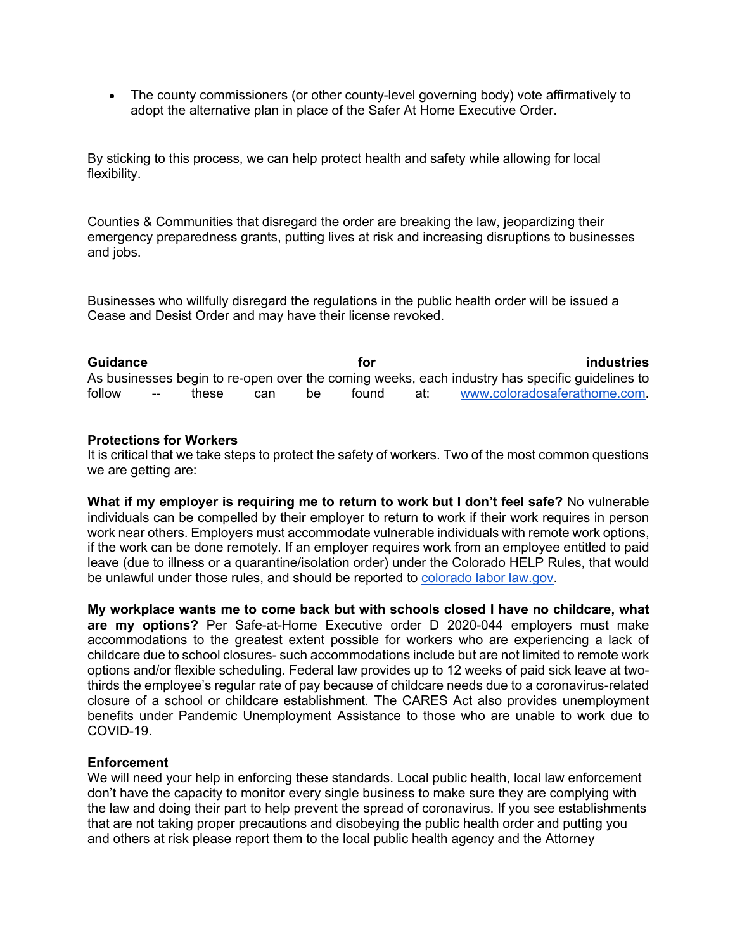• The county commissioners (or other county-level governing body) vote affirmatively to adopt the alternative plan in place of the Safer At Home Executive Order.

By sticking to this process, we can help protect health and safety while allowing for local flexibility.

Counties & Communities that disregard the order are breaking the law, jeopardizing their emergency preparedness grants, putting lives at risk and increasing disruptions to businesses and jobs.

Businesses who willfully disregard the regulations in the public health order will be issued a Cease and Desist Order and may have their license revoked.

**Guidance for industries** As businesses begin to re-open over the coming weeks, each industry has specific guidelines to follow -- these can be found at: www.coloradosaferathome.com.

#### **Protections for Workers**

It is critical that we take steps to protect the safety of workers. Two of the most common questions we are getting are:

**What if my employer is requiring me to return to work but I don't feel safe?** No vulnerable individuals can be compelled by their employer to return to work if their work requires in person work near others. Employers must accommodate vulnerable individuals with remote work options, if the work can be done remotely. If an employer requires work from an employee entitled to paid leave (due to illness or a quarantine/isolation order) under the Colorado HELP Rules, that would be unlawful under those rules, and should be reported to colorado labor law.gov.

**My workplace wants me to come back but with schools closed I have no childcare, what are my options?** Per Safe-at-Home Executive order D 2020-044 employers must make accommodations to the greatest extent possible for workers who are experiencing a lack of childcare due to school closures- such accommodations include but are not limited to remote work options and/or flexible scheduling. Federal law provides up to 12 weeks of paid sick leave at twothirds the employee's regular rate of pay because of childcare needs due to a coronavirus-related closure of a school or childcare establishment. The CARES Act also provides unemployment benefits under Pandemic Unemployment Assistance to those who are unable to work due to COVID-19.

#### **Enforcement**

We will need your help in enforcing these standards. Local public health, local law enforcement don't have the capacity to monitor every single business to make sure they are complying with the law and doing their part to help prevent the spread of coronavirus. If you see establishments that are not taking proper precautions and disobeying the public health order and putting you and others at risk please report them to the local public health agency and the Attorney